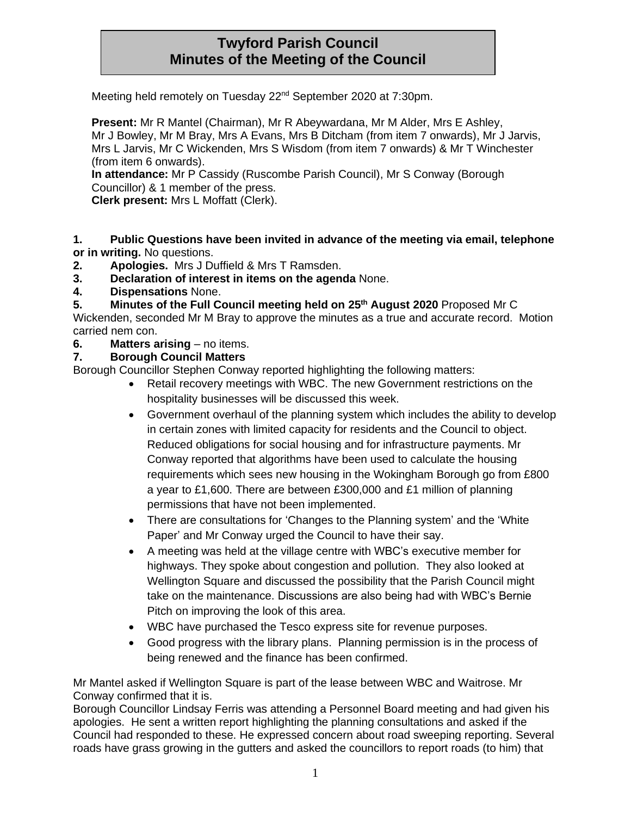# **Twyford Parish Council Minutes of the Meeting of the Council**

Meeting held remotely on Tuesday 22<sup>nd</sup> September 2020 at 7:30pm.

**Present:** Mr R Mantel (Chairman), Mr R Abeywardana, Mr M Alder, Mrs E Ashley, Mr J Bowley, Mr M Bray, Mrs A Evans, Mrs B Ditcham (from item 7 onwards), Mr J Jarvis, Mrs L Jarvis, Mr C Wickenden, Mrs S Wisdom (from item 7 onwards) & Mr T Winchester (from item 6 onwards).

**In attendance:** Mr P Cassidy (Ruscombe Parish Council), Mr S Conway (Borough Councillor) & 1 member of the press.

**Clerk present:** Mrs L Moffatt (Clerk).

**1. Public Questions have been invited in advance of the meeting via email, telephone or in writing.** No questions.

- **2. Apologies.** Mrs J Duffield & Mrs T Ramsden.
- **3. Declaration of interest in items on the agenda** None.
- **4. Dispensations** None.
- **5. Minutes of the Full Council meeting held on 25th August 2020** Proposed Mr C

Wickenden, seconded Mr M Bray to approve the minutes as a true and accurate record. Motion carried nem con.

**6. Matters arising** – no items.

#### **7. Borough Council Matters**

Borough Councillor Stephen Conway reported highlighting the following matters:

- Retail recovery meetings with WBC. The new Government restrictions on the hospitality businesses will be discussed this week.
- Government overhaul of the planning system which includes the ability to develop in certain zones with limited capacity for residents and the Council to object. Reduced obligations for social housing and for infrastructure payments. Mr Conway reported that algorithms have been used to calculate the housing requirements which sees new housing in the Wokingham Borough go from £800 a year to £1,600. There are between £300,000 and £1 million of planning permissions that have not been implemented.
- There are consultations for 'Changes to the Planning system' and the 'White Paper' and Mr Conway urged the Council to have their say.
- A meeting was held at the village centre with WBC's executive member for highways. They spoke about congestion and pollution. They also looked at Wellington Square and discussed the possibility that the Parish Council might take on the maintenance. Discussions are also being had with WBC's Bernie Pitch on improving the look of this area.
- WBC have purchased the Tesco express site for revenue purposes.
- Good progress with the library plans. Planning permission is in the process of being renewed and the finance has been confirmed.

Mr Mantel asked if Wellington Square is part of the lease between WBC and Waitrose. Mr Conway confirmed that it is.

Borough Councillor Lindsay Ferris was attending a Personnel Board meeting and had given his apologies. He sent a written report highlighting the planning consultations and asked if the Council had responded to these. He expressed concern about road sweeping reporting. Several roads have grass growing in the gutters and asked the councillors to report roads (to him) that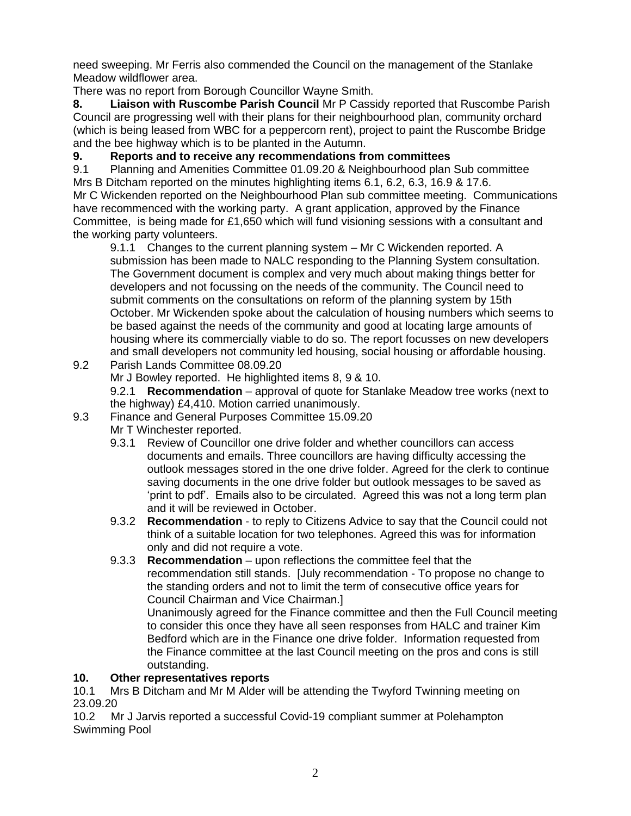need sweeping. Mr Ferris also commended the Council on the management of the Stanlake Meadow wildflower area.

There was no report from Borough Councillor Wayne Smith.

**8. Liaison with Ruscombe Parish Council** Mr P Cassidy reported that Ruscombe Parish Council are progressing well with their plans for their neighbourhood plan, community orchard (which is being leased from WBC for a peppercorn rent), project to paint the Ruscombe Bridge and the bee highway which is to be planted in the Autumn.

# **9. Reports and to receive any recommendations from committees**

9.1 Planning and Amenities Committee 01.09.20 & Neighbourhood plan Sub committee Mrs B Ditcham reported on the minutes highlighting items 6.1, 6.2, 6.3, 16.9 & 17.6. Mr C Wickenden reported on the Neighbourhood Plan sub committee meeting. Communications have recommenced with the working party. A grant application, approved by the Finance Committee, is being made for £1,650 which will fund visioning sessions with a consultant and the working party volunteers.

9.1.1 Changes to the current planning system – Mr C Wickenden reported. A submission has been made to NALC responding to the Planning System consultation. The Government document is complex and very much about making things better for developers and not focussing on the needs of the community. The Council need to submit comments on the consultations on reform of the planning system by 15th October. Mr Wickenden spoke about the calculation of housing numbers which seems to be based against the needs of the community and good at locating large amounts of housing where its commercially viable to do so. The report focusses on new developers and small developers not community led housing, social housing or affordable housing.

9.2 Parish Lands Committee 08.09.20 Mr J Bowley reported. He highlighted items 8, 9 & 10. 9.2.1 **Recommendation** – approval of quote for Stanlake Meadow tree works (next to the highway) £4,410. Motion carried unanimously.

## 9.3 Finance and General Purposes Committee 15.09.20

- Mr T Winchester reported.
- 9.3.1 Review of Councillor one drive folder and whether councillors can access documents and emails. Three councillors are having difficulty accessing the outlook messages stored in the one drive folder. Agreed for the clerk to continue saving documents in the one drive folder but outlook messages to be saved as 'print to pdf'. Emails also to be circulated. Agreed this was not a long term plan and it will be reviewed in October.
- 9.3.2 **Recommendation**  to reply to Citizens Advice to say that the Council could not think of a suitable location for two telephones. Agreed this was for information only and did not require a vote.
- 9.3.3 **Recommendation**  upon reflections the committee feel that the recommendation still stands. [July recommendation - To propose no change to the standing orders and not to limit the term of consecutive office years for Council Chairman and Vice Chairman.]

Unanimously agreed for the Finance committee and then the Full Council meeting to consider this once they have all seen responses from HALC and trainer Kim Bedford which are in the Finance one drive folder. Information requested from the Finance committee at the last Council meeting on the pros and cons is still outstanding.

## **10. Other representatives reports**

10.1 Mrs B Ditcham and Mr M Alder will be attending the Twyford Twinning meeting on 23.09.20

10.2 Mr J Jarvis reported a successful Covid-19 compliant summer at Polehampton Swimming Pool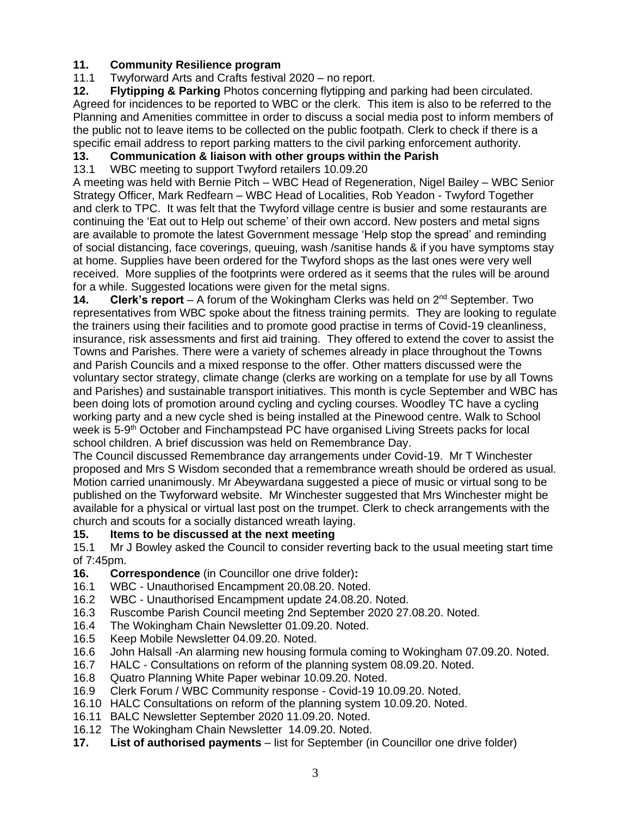## **11. Community Resilience program**

11.1 Twyforward Arts and Crafts festival 2020 – no report.<br>**12. Flytipping & Parking** Photos concerning flytipping ar

**12. Flytipping & Parking** Photos concerning flytipping and parking had been circulated. Agreed for incidences to be reported to WBC or the clerk. This item is also to be referred to the Planning and Amenities committee in order to discuss a social media post to inform members of the public not to leave items to be collected on the public footpath. Clerk to check if there is a specific email address to report parking matters to the civil parking enforcement authority.

# **13. Communication & liaison with other groups within the Parish**

13.1 WBC meeting to support Twyford retailers 10.09.20

A meeting was held with Bernie Pitch – WBC Head of Regeneration, Nigel Bailey – WBC Senior Strategy Officer, Mark Redfearn – WBC Head of Localities, Rob Yeadon - Twyford Together and clerk to TPC. It was felt that the Twyford village centre is busier and some restaurants are continuing the 'Eat out to Help out scheme' of their own accord. New posters and metal signs are available to promote the latest Government message 'Help stop the spread' and reminding of social distancing, face coverings, queuing, wash /sanitise hands & if you have symptoms stay at home. Supplies have been ordered for the Twyford shops as the last ones were very well received. More supplies of the footprints were ordered as it seems that the rules will be around for a while. Suggested locations were given for the metal signs.

**14. Clerk's report** – A forum of the Wokingham Clerks was held on 2nd September. Two representatives from WBC spoke about the fitness training permits. They are looking to regulate the trainers using their facilities and to promote good practise in terms of Covid-19 cleanliness, insurance, risk assessments and first aid training. They offered to extend the cover to assist the Towns and Parishes. There were a variety of schemes already in place throughout the Towns and Parish Councils and a mixed response to the offer. Other matters discussed were the voluntary sector strategy, climate change (clerks are working on a template for use by all Towns and Parishes) and sustainable transport initiatives. This month is cycle September and WBC has been doing lots of promotion around cycling and cycling courses. Woodley TC have a cycling working party and a new cycle shed is being installed at the Pinewood centre. Walk to School week is 5-9<sup>th</sup> October and Finchampstead PC have organised Living Streets packs for local school children. A brief discussion was held on Remembrance Day.

The Council discussed Remembrance day arrangements under Covid-19. Mr T Winchester proposed and Mrs S Wisdom seconded that a remembrance wreath should be ordered as usual. Motion carried unanimously. Mr Abeywardana suggested a piece of music or virtual song to be published on the Twyforward website. Mr Winchester suggested that Mrs Winchester might be available for a physical or virtual last post on the trumpet. Clerk to check arrangements with the church and scouts for a socially distanced wreath laying.

## **15. Items to be discussed at the next meeting**

15.1 Mr J Bowley asked the Council to consider reverting back to the usual meeting start time of 7:45pm.

- **16. Correspondence** (in Councillor one drive folder)**:**
- 16.1 WBC Unauthorised Encampment 20.08.20. Noted.
- 16.2 WBC Unauthorised Encampment update 24.08.20. Noted.
- 16.3 Ruscombe Parish Council meeting 2nd September 2020 27.08.20. Noted.
- 16.4 The Wokingham Chain Newsletter 01.09.20. Noted.
- 16.5 Keep Mobile Newsletter 04.09.20. Noted.
- 16.6 John Halsall -An alarming new housing formula coming to Wokingham 07.09.20. Noted.
- 16.7 HALC Consultations on reform of the planning system 08.09.20. Noted.
- 16.8 Quatro Planning White Paper webinar 10.09.20. Noted.
- 16.9 Clerk Forum / WBC Community response Covid-19 10.09.20. Noted.
- 16.10 HALC Consultations on reform of the planning system 10.09.20. Noted.
- 16.11 BALC Newsletter September 2020 11.09.20. Noted.
- 16.12 The Wokingham Chain Newsletter 14.09.20. Noted.
- **17. List of authorised payments** list for September (in Councillor one drive folder)